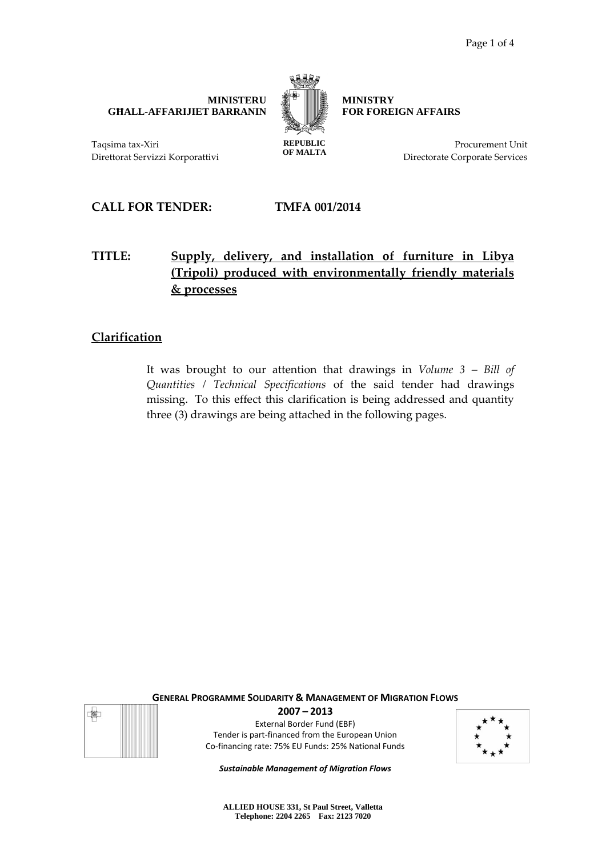**MINISTERU GĦALL-AFFARIJIET BARRANIN** 



**OF MALTA**

**MINISTRY FOR FOREIGN AFFAIRS**

> Procurement Unit Directorate Corporate Services

Taqsima tax-Xiri Direttorat Servizzi Korporattivi

**CALL FOR TENDER: TMFA 001/2014**

# **TITLE: Supply, delivery, and installation of furniture in Libya (Tripoli) produced with environmentally friendly materials & processes**

# **Clarification**

It was brought to our attention that drawings in *Volume 3 – Bill of Quantities / Technical Specifications* of the said tender had drawings missing. To this effect this clarification is being addressed and quantity three (3) drawings are being attached in the following pages.



**GENERAL PROGRAMME SOLIDARITY & MANAGEMENT OF MIGRATION FLOWS 2007 – 2013** External Border Fund (EBF)

Tender is part-financed from the European Union Co-financing rate: 75% EU Funds: 25% National Funds



*Sustainable Management of Migration Flows*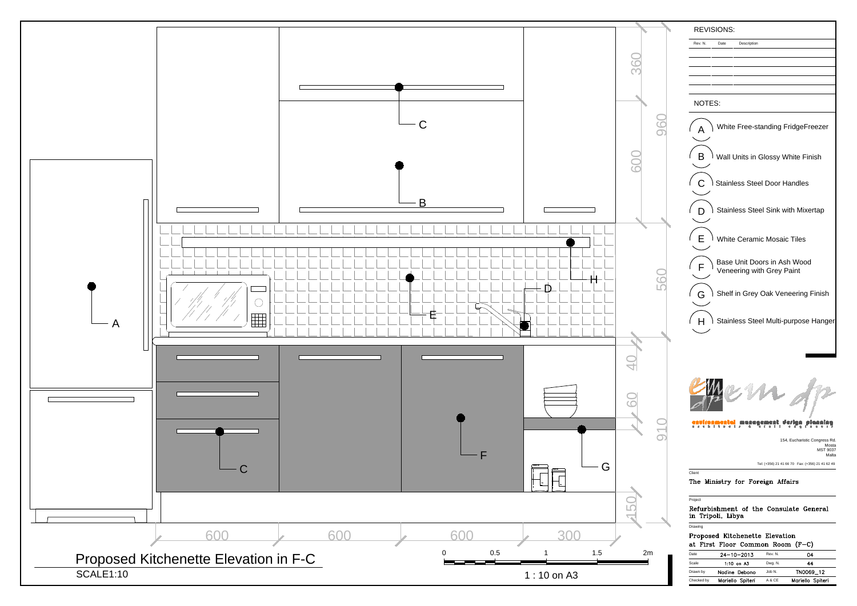

|            | at 1115t 11001 coinníon nochi (1 |         |                  |
|------------|----------------------------------|---------|------------------|
| Date       | $24 - 10 - 2013$                 | Rev. N. | 04               |
| Scale      | $1:10$ on $A3$                   | Dwg. N. | 44               |
| Drawn by   | Nadine Debono                    | Job N.  | TN0069_12        |
| Checked by | Mariello Spiteri                 | A & CE  | Mariello Spiteri |
|            |                                  |         |                  |

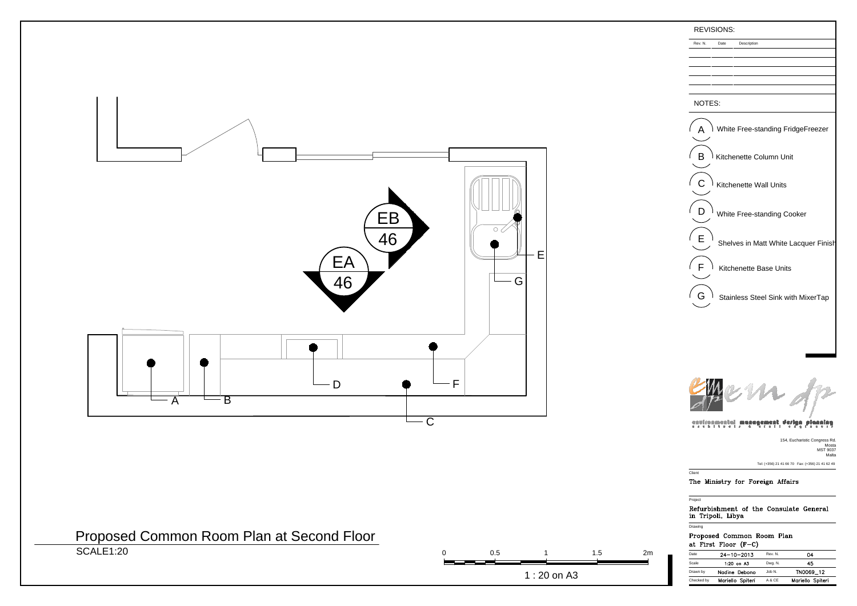## NOTES:



Rev. N. Date Description

| Date       | $24 - 10 - 2013$ | Rev. N. | 04               |
|------------|------------------|---------|------------------|
| Scale      | $1:20$ on $A3$   | Dwg. N. | 45               |
| Drawn by   | Nadine Debono    | Job N.  | TN0069_12        |
| Checked by | Mariello Spiteri | A & CE  | Mariello Spiteri |
|            |                  |         |                  |



Project

# Refurbishment of the Consulate General in Tripoli, Libya

**Drawing** 

## Proposed Common Room Plan at First Floor  $(F-C)$

154, Eucharistic Congress Rd. Mosta MST 9037 Malta Tel: (+356) 21 41 66 70 Fax: (+356) 21 41 62 49

#### **Client**

## The Ministry for Foreign Affairs



# Proposed Common Room Plan at Second Floor

SCALE1:20